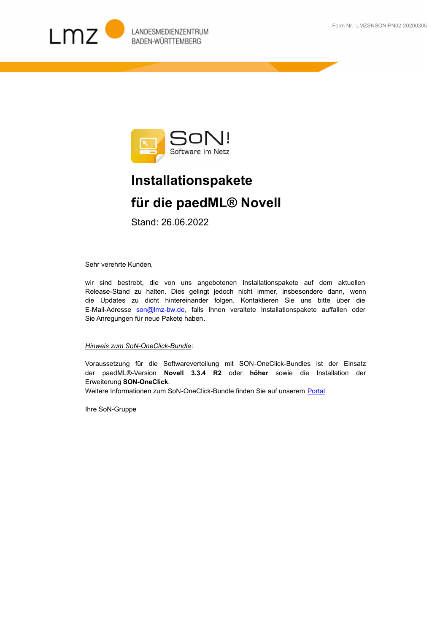



## **Installationspakete für die paedML® Novell**

Stand: 26.06.2022

Sehr verehrte Kunden,

wir sind bestrebt, die von uns angebotenen Installationspakete auf dem aktuellen Release-Stand zu halten. Dies gelingt jedoch nicht immer, insbesondere dann, wenn [die Updates zu dicht hintereinander folgen. Kontaktieren Sie uns bitte über die](mailto:son@lmz-bw.de)  E-Mail-Adresse son@Imz-bw.de, falls Ihnen veraltete Installationspakete auffallen oder Sie Anregungen für neue Pakete haben.

## *Hinweis zum SoN-OneClick-Bundle*:

Voraussetzung für die Softwareverteilung mit SON-OneClick-Bundles ist der Einsatz der paedML®-Version **Novell 3.3.4 R2** oder **höher** sowie die Installation der Erweiterung **SON-OneClick**.

Weitere Informationen zum SoN-OneClick-Bundle finden Sie auf unserem Portal.

Ihre SoN-Gruppe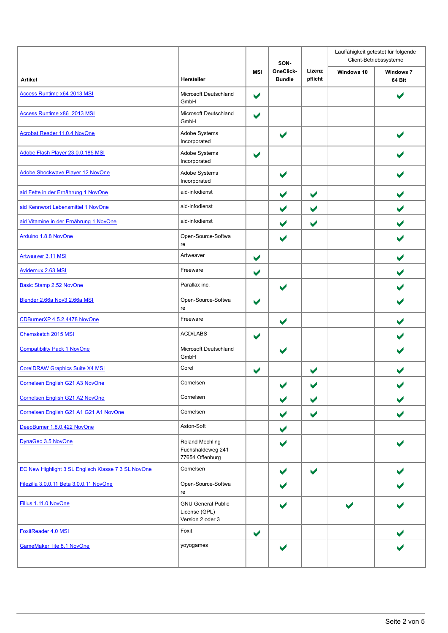|                                                     |                                                                | SON-                  |                            | Lauffähigkeit getestet für folgende<br>Client-Betriebssysteme |            |                            |
|-----------------------------------------------------|----------------------------------------------------------------|-----------------------|----------------------------|---------------------------------------------------------------|------------|----------------------------|
| <b>Artikel</b>                                      | Hersteller                                                     | <b>MSI</b>            | OneClick-<br><b>Bundle</b> | Lizenz<br>pflicht                                             | Windows 10 | <b>Windows 7</b><br>64 Bit |
| Access Runtime x64 2013 MSI                         | Microsoft Deutschland<br>GmbH                                  | $\blacktriangleright$ |                            |                                                               |            |                            |
| Access Runtime x86 2013 MSI                         | Microsoft Deutschland<br>GmbH                                  | $\blacktriangledown$  |                            |                                                               |            |                            |
| Acrobat Reader 11.0.4 NovOne                        | Adobe Systems<br>Incorporated                                  |                       | $\blacktriangledown$       |                                                               |            |                            |
| Adobe Flash Player 23.0.0.185 MSI                   | Adobe Systems<br>Incorporated                                  | $\blacktriangledown$  |                            |                                                               |            |                            |
| Adobe Shockwave Player 12 NovOne                    | Adobe Systems<br>Incorporated                                  |                       |                            |                                                               |            |                            |
| aid Fette in der Ernährung 1 NovOne                 | aid-infodienst                                                 |                       | $\blacktriangledown$       | $\blacktriangledown$                                          |            |                            |
| aid Kennwort Lebensmittel 1 NovOne                  | aid-infodienst                                                 |                       | $\blacktriangledown$       | $\blacktriangledown$                                          |            | $\blacktriangledown$       |
| aid Vitamine in der Ernährung 1 NovOne              | aid-infodienst                                                 |                       | $\blacktriangledown$       | $\blacktriangledown$                                          |            |                            |
| Arduino 1.8.8 NovOne                                | Open-Source-Softwa<br>re                                       |                       | $\blacktriangleright$      |                                                               |            |                            |
| <b>Artweaver 3.11 MSI</b>                           | Artweaver                                                      | $\blacktriangledown$  |                            |                                                               |            |                            |
| Avidemux 2.63 MSI                                   | Freeware                                                       | $\blacktriangledown$  |                            |                                                               |            |                            |
| <b>Basic Stamp 2.52 NovOne</b>                      | Parallax inc.                                                  |                       | $\blacktriangledown$       |                                                               |            |                            |
| Blender 2.66a Nov3 2.66a MSI                        | Open-Source-Softwa<br>re                                       | $\blacktriangledown$  |                            |                                                               |            |                            |
| CDBurnerXP 4.5.2.4478 NovOne                        | Freeware                                                       |                       | $\blacktriangledown$       |                                                               |            | $\blacktriangleright$      |
| Chemsketch 2015 MSI                                 | ACD/LABS                                                       | $\blacktriangledown$  |                            |                                                               |            | $\blacktriangleright$      |
| <b>Compatibility Pack 1 NovOne</b>                  | Microsoft Deutschland<br>GmbH                                  |                       | $\blacktriangleright$      |                                                               |            |                            |
| <b>CorelDRAW Graphics Suite X4 MSI</b>              | Corel                                                          | $\blacktriangledown$  |                            | $\blacktriangledown$                                          |            |                            |
| Cornelsen English G21 A3 NovOne                     | Cornelsen                                                      |                       |                            | v                                                             |            |                            |
| Cornelsen English G21 A2 NovOne                     | Cornelsen                                                      |                       | $\blacktriangledown$       | $\blacktriangledown$                                          |            | $\blacktriangleright$      |
| Cornelsen English G21 A1 G21 A1 NovOne              | Cornelsen                                                      |                       | $\blacktriangledown$       | $\blacktriangledown$                                          |            |                            |
| DeepBurner 1.8.0.422 NovOne                         | Aston-Soft                                                     |                       | $\blacktriangledown$       |                                                               |            |                            |
| DynaGeo 3.5 NovOne                                  | Roland Mechling<br>Fuchshaldeweg 241<br>77654 Offenburg        |                       |                            |                                                               |            |                            |
| EC New Highlight 3 SL Englisch Klasse 7 3 SL NovOne | Cornelsen                                                      |                       | $\blacktriangledown$       | $\blacktriangledown$                                          |            |                            |
| Filezilla 3.0.0.11 Beta 3.0.0.11 NovOne             | Open-Source-Softwa<br>re                                       |                       | $\blacktriangleright$      |                                                               |            |                            |
| Filius 1.11.0 NovOne                                | <b>GNU General Public</b><br>License (GPL)<br>Version 2 oder 3 |                       |                            |                                                               |            |                            |
| FoxitReader 4.0 MSI                                 | Foxit                                                          | $\blacktriangledown$  |                            |                                                               |            |                            |
| GameMaker lite 8.1 NovOne                           | yoyogames                                                      |                       |                            |                                                               |            |                            |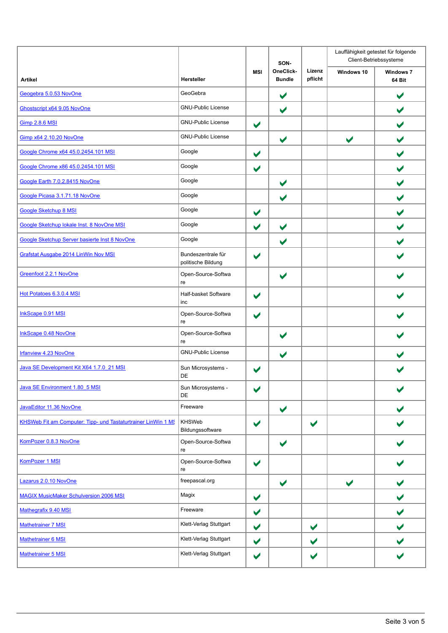|                                                               |                                          |                      | SON-                       |                      |                      | Lauffähigkeit getestet für folgende<br>Client-Betriebssysteme |  |  |
|---------------------------------------------------------------|------------------------------------------|----------------------|----------------------------|----------------------|----------------------|---------------------------------------------------------------|--|--|
| <b>Artikel</b>                                                | Hersteller                               | <b>MSI</b>           | OneClick-<br><b>Bundle</b> | Lizenz<br>pflicht    | Windows 10           | <b>Windows 7</b><br>64 Bit                                    |  |  |
| Geogebra 5.0.53 NovOne                                        | GeoGebra                                 |                      | $\blacktriangledown$       |                      |                      | $\blacktriangledown$                                          |  |  |
| Ghostscript x64 9.05 NovOne                                   | <b>GNU-Public License</b>                |                      | $\blacktriangledown$       |                      |                      | $\blacktriangledown$                                          |  |  |
| Gimp 2.8.6 MSI                                                | <b>GNU-Public License</b>                | $\blacktriangledown$ |                            |                      |                      | $\blacktriangleright$                                         |  |  |
| Gimp x64 2.10.20 NovOne                                       | <b>GNU-Public License</b>                |                      | $\blacktriangledown$       |                      | $\blacktriangledown$ |                                                               |  |  |
| Google Chrome x64 45.0.2454.101 MSI                           | Google                                   | $\blacktriangledown$ |                            |                      |                      |                                                               |  |  |
| Google Chrome x86 45.0.2454.101 MSI                           | Google                                   | $\blacktriangledown$ |                            |                      |                      | $\blacktriangledown$                                          |  |  |
| Google Earth 7.0.2.8415 NovOne                                | Google                                   |                      | $\blacktriangledown$       |                      |                      | $\blacktriangleright$                                         |  |  |
| Google Picasa 3.1.71.18 NovOne                                | Google                                   |                      | $\blacktriangledown$       |                      |                      |                                                               |  |  |
| <b>Google Sketchup 8 MSI</b>                                  | Google                                   | $\blacktriangledown$ |                            |                      |                      |                                                               |  |  |
| Google Sketchup lokale Inst. 8 NovOne MSI                     | Google                                   | $\blacktriangledown$ | $\blacktriangledown$       |                      |                      | $\blacktriangledown$                                          |  |  |
| Google Sketchup Server basierte Inst 8 NovOne                 | Google                                   |                      | $\blacktriangledown$       |                      |                      |                                                               |  |  |
| Grafstat Ausgabe 2014 LinWin Nov MSI                          | Bundeszentrale für<br>politische Bildung | $\blacktriangledown$ |                            |                      |                      |                                                               |  |  |
| Greenfoot 2.2.1 NovOne                                        | Open-Source-Softwa<br>re                 |                      | $\blacktriangledown$       |                      |                      |                                                               |  |  |
| Hot Potatoes 6.3.0.4 MSI                                      | Half-basket Software<br>inc              | $\blacktriangledown$ |                            |                      |                      |                                                               |  |  |
| InkScape 0.91 MSI                                             | Open-Source-Softwa<br>re                 | $\blacktriangledown$ |                            |                      |                      |                                                               |  |  |
| InkScape 0.48 NovOne                                          | Open-Source-Softwa<br>re                 |                      |                            |                      |                      |                                                               |  |  |
| Irfanview 4.23 NovOne                                         | <b>GNU-Public License</b>                |                      | $\blacktriangledown$       |                      |                      |                                                               |  |  |
| Java SE Development Kit X64 1.7.0 21 MSI                      | Sun Microsystems -<br>DE                 | $\blacktriangledown$ |                            |                      |                      |                                                               |  |  |
| Java SE Environment 1.80_5 MSI                                | Sun Microsystems -<br>DE                 | $\blacktriangledown$ |                            |                      |                      |                                                               |  |  |
| JavaEditor 11.36 NovOne                                       | Freeware                                 |                      | $\blacktriangledown$       |                      |                      |                                                               |  |  |
| KHSWeb Fit am Computer: Tipp- und Tastaturtrainer LinWin 1 MS | KHSWeb<br>Bildungssoftware               | $\blacktriangledown$ |                            | $\blacktriangledown$ |                      |                                                               |  |  |
| KomPozer 0.8.3 NovOne                                         | Open-Source-Softwa<br>re                 |                      | $\blacktriangledown$       |                      |                      |                                                               |  |  |
| KomPozer 1 MSI                                                | Open-Source-Softwa<br>re                 | $\blacktriangledown$ |                            |                      |                      |                                                               |  |  |
| Lazarus 2.0.10 NovOne                                         | freepascal.org                           |                      | $\blacktriangledown$       |                      | $\blacktriangledown$ |                                                               |  |  |
| <b>MAGIX MusicMaker Schulversion 2006 MSI</b>                 | Magix                                    | $\blacktriangledown$ |                            |                      |                      | $\blacktriangleright$                                         |  |  |
| Mathegrafix 9.40 MSI                                          | Freeware                                 | $\blacktriangledown$ |                            |                      |                      | $\blacktriangledown$                                          |  |  |
| Mathetrainer 7 MSI                                            | Klett-Verlag Stuttgart                   | $\blacktriangledown$ |                            | $\blacktriangledown$ |                      | $\blacktriangledown$                                          |  |  |
| Mathetrainer 6 MSI                                            | Klett-Verlag Stuttgart                   | $\blacktriangledown$ |                            | $\blacktriangledown$ |                      |                                                               |  |  |
| Mathetrainer 5 MSI                                            | Klett-Verlag Stuttgart                   | $\blacktriangledown$ |                            | $\blacktriangledown$ |                      |                                                               |  |  |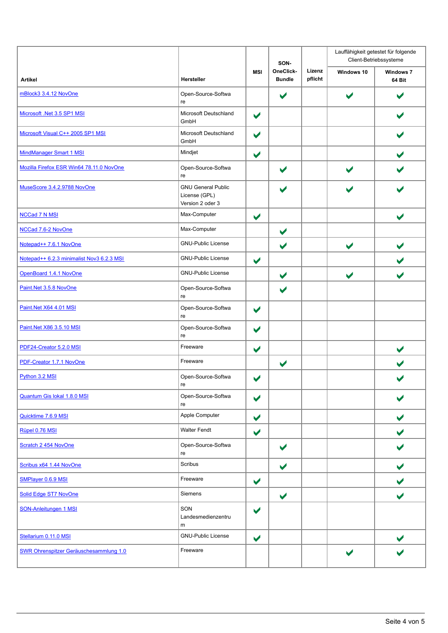|                                               |                                                                |                      | SON-                       |                   | Lauffähigkeit getestet für folgende<br>Client-Betriebssysteme |                            |  |
|-----------------------------------------------|----------------------------------------------------------------|----------------------|----------------------------|-------------------|---------------------------------------------------------------|----------------------------|--|
| <b>Artikel</b>                                | <b>Hersteller</b>                                              | <b>MSI</b>           | OneClick-<br><b>Bundle</b> | Lizenz<br>pflicht | Windows 10                                                    | <b>Windows 7</b><br>64 Bit |  |
| mBlock3 3.4.12 NovOne                         | Open-Source-Softwa<br>re                                       |                      | $\blacktriangledown$       |                   | $\blacktriangledown$                                          |                            |  |
| Microsoft .Net 3.5 SP1 MSI                    | Microsoft Deutschland<br>GmbH                                  | $\blacktriangledown$ |                            |                   |                                                               |                            |  |
| Microsoft Visual C++ 2005 SP1 MSI             | Microsoft Deutschland<br>GmbH                                  | $\blacktriangledown$ |                            |                   |                                                               |                            |  |
| <b>MindManager Smart 1 MSI</b>                | Mindjet                                                        | $\blacktriangledown$ |                            |                   |                                                               |                            |  |
| Mozilla Firefox ESR Win64 78.11.0 NovOne      | Open-Source-Softwa<br>re                                       |                      | $\blacktriangledown$       |                   | $\blacktriangleright$                                         |                            |  |
| MuseScore 3.4.2.9788 NovOne                   | <b>GNU General Public</b><br>License (GPL)<br>Version 2 oder 3 |                      |                            |                   | $\overline{\phantom{a}}$                                      |                            |  |
| <b>NCCad 7 N MSI</b>                          | Max-Computer                                                   | $\blacktriangledown$ |                            |                   |                                                               |                            |  |
| NCCad 7.6-2 NovOne                            | Max-Computer                                                   |                      | $\blacktriangledown$       |                   |                                                               |                            |  |
| Notepad++ 7.6.1 NovOne                        | <b>GNU-Public License</b>                                      |                      | $\blacktriangledown$       |                   | $\blacktriangledown$                                          | $\blacktriangleright$      |  |
| Notepad++ 6.2.3 minimalist Nov3 6.2.3 MSI     | <b>GNU-Public License</b>                                      | $\blacktriangledown$ |                            |                   |                                                               | $\blacktriangleright$      |  |
| OpenBoard 1.4.1 NovOne                        | <b>GNU-Public License</b>                                      |                      | $\blacktriangledown$       |                   | $\blacktriangledown$                                          | $\blacktriangleright$      |  |
| Paint.Net 3.5.8 NovOne                        | Open-Source-Softwa<br>re                                       |                      | $\blacktriangledown$       |                   |                                                               |                            |  |
| Paint.Net X64 4.01 MSI                        | Open-Source-Softwa<br>re                                       | $\blacktriangledown$ |                            |                   |                                                               |                            |  |
| Paint.Net X86 3.5.10 MSI                      | Open-Source-Softwa<br>re                                       | $\blacktriangledown$ |                            |                   |                                                               |                            |  |
| PDF24-Creator 5.2.0 MSI                       | Freeware                                                       | $\blacktriangledown$ |                            |                   |                                                               | $\blacktriangledown$       |  |
| PDF-Creator 1.7.1 NovOne                      | Freeware                                                       |                      | $\blacktriangledown$       |                   |                                                               |                            |  |
| Python 3.2 MSI                                | Open-Source-Softwa<br>re                                       | $\blacktriangledown$ |                            |                   |                                                               |                            |  |
| Quantum Gis lokal 1.8.0 MSI                   | Open-Source-Softwa<br>re                                       | $\blacktriangledown$ |                            |                   |                                                               |                            |  |
| Quicktime 7.6.9 MSI                           | Apple Computer                                                 | $\blacktriangledown$ |                            |                   |                                                               |                            |  |
| Rüpel 0.76 MSI                                | <b>Walter Fendt</b>                                            | $\blacktriangledown$ |                            |                   |                                                               |                            |  |
| Scratch 2 454 NovOne                          | Open-Source-Softwa<br>re                                       |                      | V                          |                   |                                                               |                            |  |
| Scribus x64 1.44 NovOne                       | Scribus                                                        |                      | ✔                          |                   |                                                               | $\blacktriangleright$      |  |
| SMPlayer 0.6.9 MSI                            | Freeware                                                       | $\blacktriangledown$ |                            |                   |                                                               |                            |  |
| <b>Solid Edge ST7 NovOne</b>                  | Siemens                                                        |                      | $\blacktriangledown$       |                   |                                                               |                            |  |
| <b>SON-Anleitungen 1 MSI</b>                  | SON<br>Landesmedienzentru<br>m                                 | $\blacktriangledown$ |                            |                   |                                                               |                            |  |
| Stellarium 0.11.0 MSI                         | <b>GNU-Public License</b>                                      | $\blacktriangledown$ |                            |                   |                                                               |                            |  |
| <b>SWR Ohrenspitzer Geräuschesammlung 1.0</b> | Freeware                                                       |                      |                            |                   | $\blacktriangleright$                                         |                            |  |